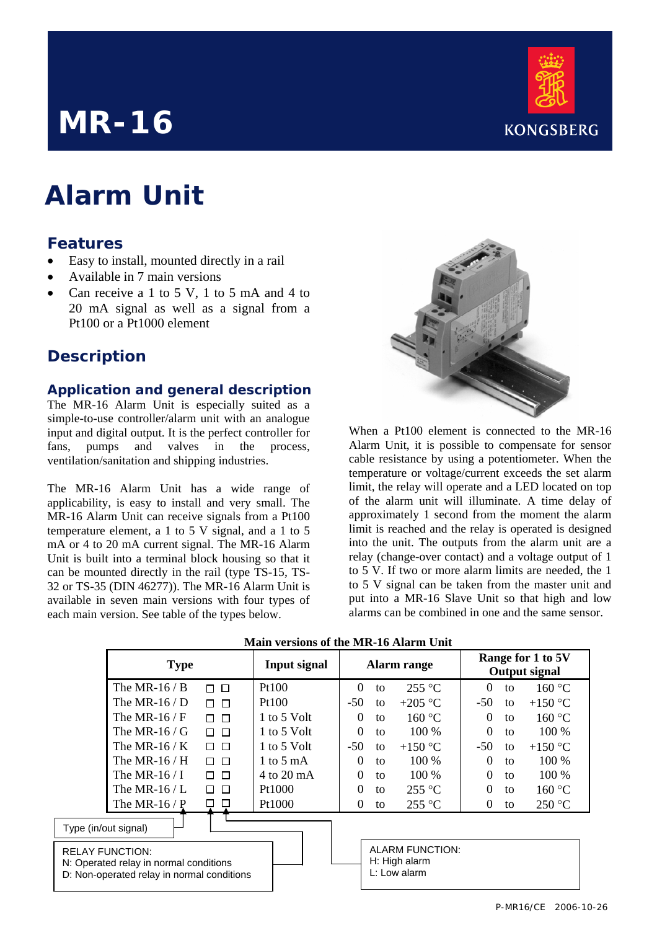# **KONGSBERG**

## **MR-16**

## **Alarm Unit**

#### **Features**

- Easy to install, mounted directly in a rail
- Available in 7 main versions
- Can receive a 1 to 5 V, 1 to 5 mA and 4 to 20 mA signal as well as a signal from a Pt100 or a Pt1000 element

### **Description**

#### **Application and general description**

The MR-16 Alarm Unit is especially suited as a simple-to-use controller/alarm unit with an analogue input and digital output. It is the perfect controller for fans, pumps and valves in the process, ventilation/sanitation and shipping industries.

The MR-16 Alarm Unit has a wide range of applicability, is easy to install and very small. The MR-16 Alarm Unit can receive signals from a Pt100 temperature element, a 1 to 5 V signal, and a 1 to 5 mA or 4 to 20 mA current signal. The MR-16 Alarm Unit is built into a terminal block housing so that it can be mounted directly in the rail (type TS-15, TS-32 or TS-35 (DIN 46277)). The MR-16 Alarm Unit is available in seven main versions with four types of each main version. See table of the types below.



When a Pt100 element is connected to the MR-16 Alarm Unit, it is possible to compensate for sensor cable resistance by using a potentiometer. When the temperature or voltage/current exceeds the set alarm limit, the relay will operate and a LED located on top of the alarm unit will illuminate. A time delay of approximately 1 second from the moment the alarm limit is reached and the relay is operated is designed into the unit. The outputs from the alarm unit are a relay (change-over contact) and a voltage output of 1 to 5 V. If two or more alarm limits are needed, the 1 to 5 V signal can be taken from the master unit and put into a MR-16 Slave Unit so that high and low alarms can be combined in one and the same sensor.

|                                                                                                                | <b>Type</b>        |                  | <b>Input signal</b> | <b>Alarm</b> range |    |                                                  | Range for 1 to 5V<br><b>Output signal</b> |    |                  |
|----------------------------------------------------------------------------------------------------------------|--------------------|------------------|---------------------|--------------------|----|--------------------------------------------------|-------------------------------------------|----|------------------|
|                                                                                                                | The MR-16 / B      | $\Box$ $\Box$    | Pt100               | $\Omega$           | to | $255^{\circ}$ C                                  | $\theta$                                  | to | 160 °C           |
|                                                                                                                | The MR-16 / $D$    | $\Box$<br>П.     | Pt100               | $-50$              | to | $+205$ °C                                        | $-50$                                     | to | +150 $\degree$ C |
|                                                                                                                | The MR-16/F        | $\Box$<br>$\Box$ | 1 to 5 Volt         | $\Omega$           | tΩ | 160 °C                                           | $\Omega$                                  | to | 160 °C           |
|                                                                                                                | The MR-16/ $\rm G$ | $\Box$<br>П      | 1 to 5 Volt         | $\Omega$           | to | 100 %                                            | $\Omega$                                  | to | 100 %            |
|                                                                                                                | The MR-16 / $K$    | ПП               | 1 to 5 Volt         | $-50$              | to | $+150$ °C                                        | $-50$                                     | to | $+150$ °C        |
|                                                                                                                | The MR-16 $/$ H    | П<br>$\Box$      | 1 to 5 mA           | $\Omega$           | to | $100\%$                                          | $\Omega$                                  | to | 100 %            |
|                                                                                                                | The MR-16/I        | $\Box$<br>П.     | $4$ to 20 mA        | $\Omega$           | to | $100\%$                                          | $\Omega$                                  | to | $100\%$          |
|                                                                                                                | The MR-16/L        | $\Box$<br>$\Box$ | Pt1000              | $\Omega$           | to | $255^{\circ}$ C                                  | $\Omega$                                  | to | 160 °C           |
|                                                                                                                | The MR-16 $/$ P    | $\Box$           | Pt1000              | $\Omega$           | to | $255^{\circ}$ C                                  | $\theta$                                  | to | 250 °C           |
| Type (in/out signal)                                                                                           |                    |                  |                     |                    |    |                                                  |                                           |    |                  |
| <b>RELAY FUNCTION:</b><br>N: Operated relay in normal conditions<br>D: Non-operated relay in normal conditions |                    |                  |                     |                    |    | ALARM FUNCTION:<br>H: High alarm<br>L: Low alarm |                                           |    |                  |

| <b>Main versions of the MR-16 Alarm Unit</b> |  |
|----------------------------------------------|--|
|----------------------------------------------|--|